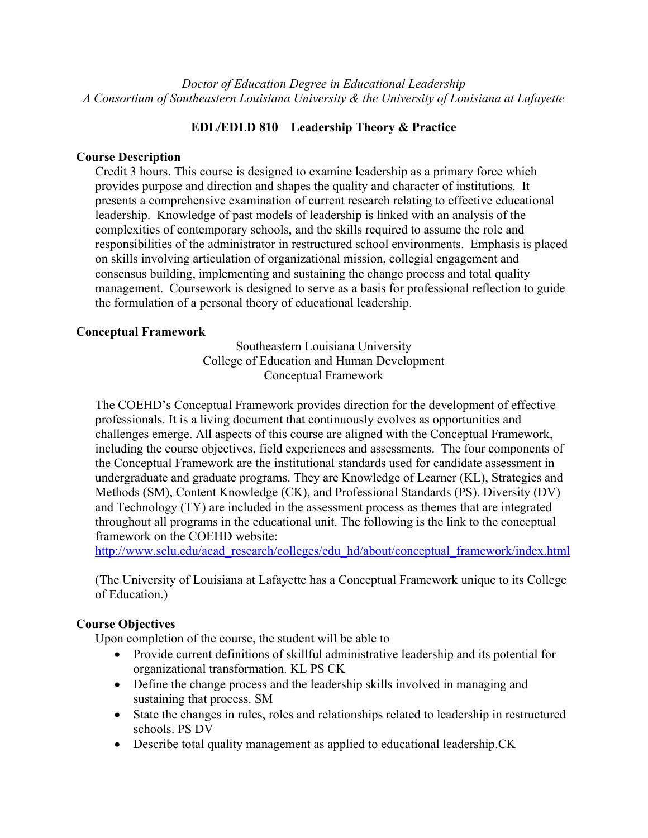*Doctor of Education Degree in Educational Leadership A Consortium of Southeastern Louisiana University & the University of Louisiana at Lafayette*

# **EDL/EDLD 810 Leadership Theory & Practice**

## **Course Description**

Credit 3 hours. This course is designed to examine leadership as a primary force which provides purpose and direction and shapes the quality and character of institutions. It presents a comprehensive examination of current research relating to effective educational leadership. Knowledge of past models of leadership is linked with an analysis of the complexities of contemporary schools, and the skills required to assume the role and responsibilities of the administrator in restructured school environments. Emphasis is placed on skills involving articulation of organizational mission, collegial engagement and consensus building, implementing and sustaining the change process and total quality management. Coursework is designed to serve as a basis for professional reflection to guide the formulation of a personal theory of educational leadership.

## **Conceptual Framework**

Southeastern Louisiana University College of Education and Human Development Conceptual Framework

The COEHD's Conceptual Framework provides direction for the development of effective professionals. It is a living document that continuously evolves as opportunities and challenges emerge. All aspects of this course are aligned with the Conceptual Framework, including the course objectives, field experiences and assessments. The four components of the Conceptual Framework are the institutional standards used for candidate assessment in undergraduate and graduate programs. They are Knowledge of Learner (KL), Strategies and Methods (SM), Content Knowledge (CK), and Professional Standards (PS). Diversity (DV) and Technology (TY) are included in the assessment process as themes that are integrated throughout all programs in the educational unit. The following is the link to the conceptual framework on the COEHD website:

http://www.selu.edu/acad\_research/colleges/edu\_hd/about/conceptual\_framework/index.html

(The University of Louisiana at Lafayette has a Conceptual Framework unique to its College of Education.)

## **Course Objectives**

Upon completion of the course, the student will be able to

- Provide current definitions of skillful administrative leadership and its potential for organizational transformation. KL PS CK
- Define the change process and the leadership skills involved in managing and sustaining that process. SM
- State the changes in rules, roles and relationships related to leadership in restructured schools. PS DV
- Describe total quality management as applied to educational leadership.CK